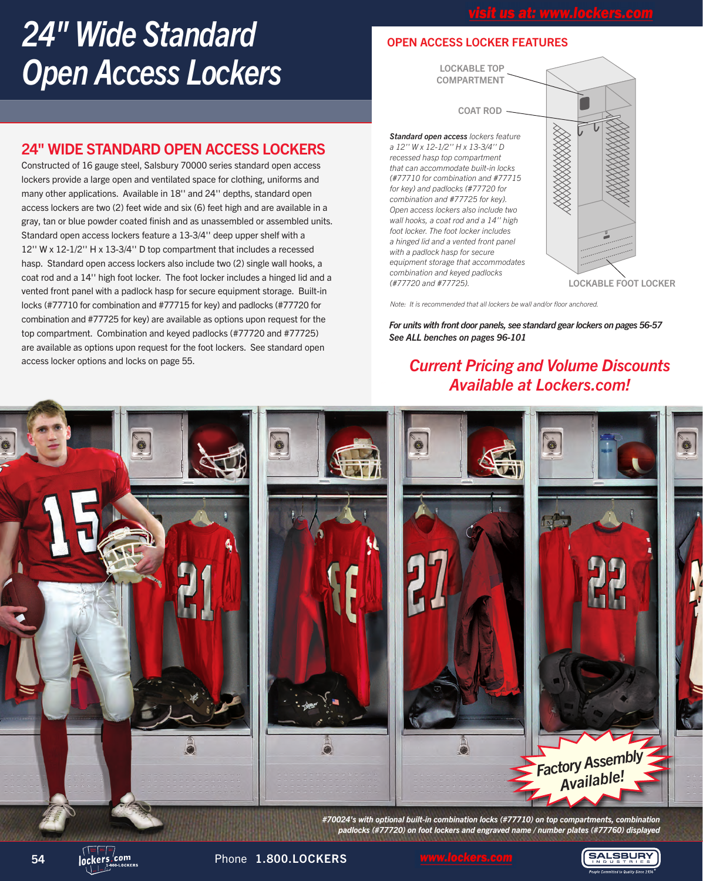# *24" Wide Standard Open Access Lockers*

## 24" WIDE STANDARD OPEN ACCESS LOCKERS

Constructed of 16 gauge steel, Salsbury 70000 series standard open access lockers provide a large open and ventilated space for clothing, uniforms and many other applications. Available in 18'' and 24'' depths, standard open access lockers are two (2) feet wide and six (6) feet high and are available in a gray, tan or blue powder coated finish and as unassembled or assembled units. Standard open access lockers feature a 13-3/4'' deep upper shelf with a 12'' W x 12-1/2'' H x 13-3/4'' D top compartment that includes a recessed hasp. Standard open access lockers also include two (2) single wall hooks, a coat rod and a 14'' high foot locker. The foot locker includes a hinged lid and a vented front panel with a padlock hasp for secure equipment storage. Built-in locks (#77710 for combination and #77715 for key) and padlocks (#77720 for combination and #77725 for key) are available as options upon request for the top compartment. Combination and keyed padlocks (#77720 and #77725) are available as options upon request for the foot lockers. See standard open access locker options and locks on page 55.

### OPEN ACCESS LOCKER FEATURES

LOCKABLE TOP **COMPARTMENT** 

COAT ROD

*Standard open access lockers feature a 12'' W x 12-1/2'' H x 13-3/4'' D recessed hasp top compartment that can accommodate built-in locks (#77710 for combination and #77715 for key) and padlocks (#77720 for combination and #77725 for key). Open access lockers also include two wall hooks, a coat rod and a 14'' high foot locker. The foot locker includes a hinged lid and a vented front panel with a padlock hasp for secure equipment storage that accommodates combination and keyed padlocks* 

*(#77720 and #77725).* LOCKABLE FOOT LOCKER

*Note: It is recommended that all lockers be wall and/or floor anchored.*

*For units with front door panels, see standard gear lockers on pages 56-57 See ALL benches on pages 96-101*

# *Current Pricing and Volume Discounts Available at Lockers.com!*